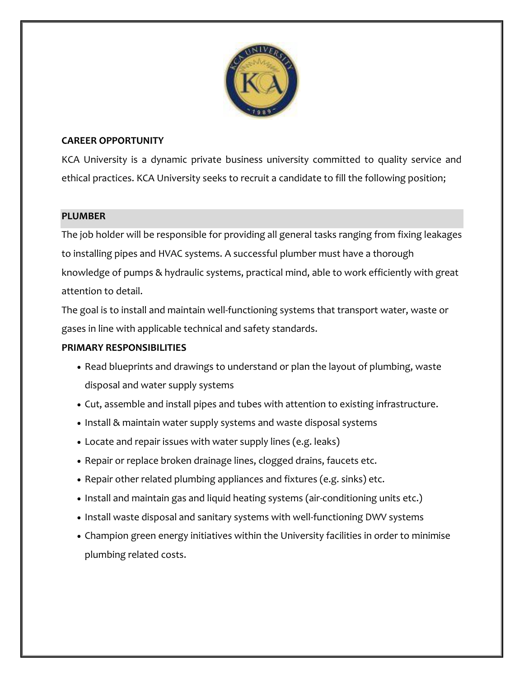

## **CAREER OPPORTUNITY**

KCA University is a dynamic private business university committed to quality service and ethical practices. KCA University seeks to recruit a candidate to fill the following position;

### **PLUMBER**

The job holder will be responsible for providing all general tasks ranging from fixing leakages to installing pipes and HVAC systems. A successful plumber must have a thorough knowledge of pumps & hydraulic systems, practical mind, able to work efficiently with great attention to detail.

The goal is to install and maintain well-functioning systems that transport water, waste or gases in line with applicable technical and safety standards.

### **PRIMARY RESPONSIBILITIES**

- Read blueprints and drawings to understand or plan the layout of plumbing, waste disposal and water supply systems
- Cut, assemble and install pipes and tubes with attention to existing infrastructure.
- Install & maintain water supply systems and waste disposal systems
- Locate and repair issues with water supply lines (e.g. leaks)
- Repair or replace broken drainage lines, clogged drains, faucets etc.
- Repair other related plumbing appliances and fixtures (e.g. sinks) etc.
- Install and maintain gas and liquid heating systems (air-conditioning units etc.)
- Install waste disposal and sanitary systems with well-functioning DWV systems
- Champion green energy initiatives within the University facilities in order to minimise plumbing related costs.